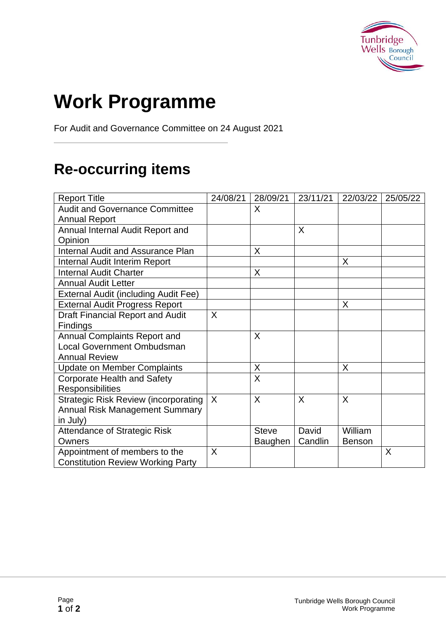

## **Work Programme**

For Audit and Governance Committee on 24 August 2021

## **Re-occurring items**

| <b>Report Title</b>                         | 24/08/21 | 28/09/21     | 23/11/21 | 22/03/22      | 25/05/22 |
|---------------------------------------------|----------|--------------|----------|---------------|----------|
| <b>Audit and Governance Committee</b>       |          | X            |          |               |          |
| <b>Annual Report</b>                        |          |              |          |               |          |
| Annual Internal Audit Report and            |          |              | X        |               |          |
| Opinion                                     |          |              |          |               |          |
| <b>Internal Audit and Assurance Plan</b>    |          | X            |          |               |          |
| Internal Audit Interim Report               |          |              |          | X             |          |
| <b>Internal Audit Charter</b>               |          | X            |          |               |          |
| <b>Annual Audit Letter</b>                  |          |              |          |               |          |
| <b>External Audit (including Audit Fee)</b> |          |              |          |               |          |
| <b>External Audit Progress Report</b>       |          |              |          | X             |          |
| <b>Draft Financial Report and Audit</b>     | X        |              |          |               |          |
| Findings                                    |          |              |          |               |          |
| <b>Annual Complaints Report and</b>         |          | X            |          |               |          |
| <b>Local Government Ombudsman</b>           |          |              |          |               |          |
| <b>Annual Review</b>                        |          |              |          |               |          |
| <b>Update on Member Complaints</b>          |          | X            |          | X             |          |
| <b>Corporate Health and Safety</b>          |          | X            |          |               |          |
| <b>Responsibilities</b>                     |          |              |          |               |          |
| <b>Strategic Risk Review (incorporating</b> | X        | $\sf X$      | X        | X             |          |
| <b>Annual Risk Management Summary</b>       |          |              |          |               |          |
| in July)                                    |          |              |          |               |          |
| <b>Attendance of Strategic Risk</b>         |          | <b>Steve</b> | David    | William       |          |
| Owners                                      |          | Baughen      | Candlin  | <b>Benson</b> |          |
| Appointment of members to the               | X        |              |          |               | X        |
| <b>Constitution Review Working Party</b>    |          |              |          |               |          |